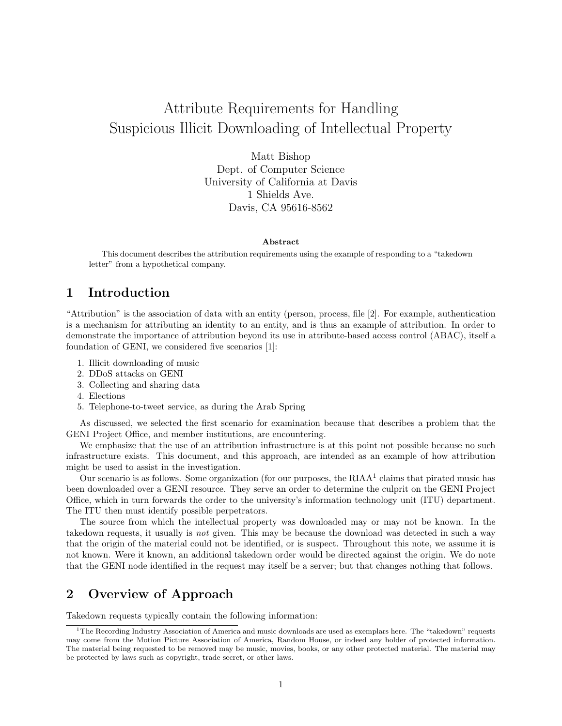# Attribute Requirements for Handling Suspicious Illicit Downloading of Intellectual Property

Matt Bishop Dept. of Computer Science University of California at Davis 1 Shields Ave. Davis, CA 95616-8562

#### Abstract

This document describes the attribution requirements using the example of responding to a "takedown letter" from a hypothetical company.

## 1 Introduction

"Attribution" is the association of data with an entity (person, process, file [2]. For example, authentication is a mechanism for attributing an identity to an entity, and is thus an example of attribution. In order to demonstrate the importance of attribution beyond its use in attribute-based access control (ABAC), itself a foundation of GENI, we considered five scenarios [1]:

- 1. Illicit downloading of music
- 2. DDoS attacks on GENI
- 3. Collecting and sharing data
- 4. Elections
- 5. Telephone-to-tweet service, as during the Arab Spring

As discussed, we selected the first scenario for examination because that describes a problem that the GENI Project Office, and member institutions, are encountering.

We emphasize that the use of an attribution infrastructure is at this point not possible because no such infrastructure exists. This document, and this approach, are intended as an example of how attribution might be used to assist in the investigation.

Our scenario is as follows. Some organization (for our purposes, the  $RIAA<sup>1</sup>$  claims that pirated music has been downloaded over a GENI resource. They serve an order to determine the culprit on the GENI Project Office, which in turn forwards the order to the university's information technology unit (ITU) department. The ITU then must identify possible perpetrators.

The source from which the intellectual property was downloaded may or may not be known. In the takedown requests, it usually is not given. This may be because the download was detected in such a way that the origin of the material could not be identified, or is suspect. Throughout this note, we assume it is not known. Were it known, an additional takedown order would be directed against the origin. We do note that the GENI node identified in the request may itself be a server; but that changes nothing that follows.

# 2 Overview of Approach

Takedown requests typically contain the following information:

<sup>1</sup>The Recording Industry Association of America and music downloads are used as exemplars here. The "takedown" requests may come from the Motion Picture Association of America, Random House, or indeed any holder of protected information. The material being requested to be removed may be music, movies, books, or any other protected material. The material may be protected by laws such as copyright, trade secret, or other laws.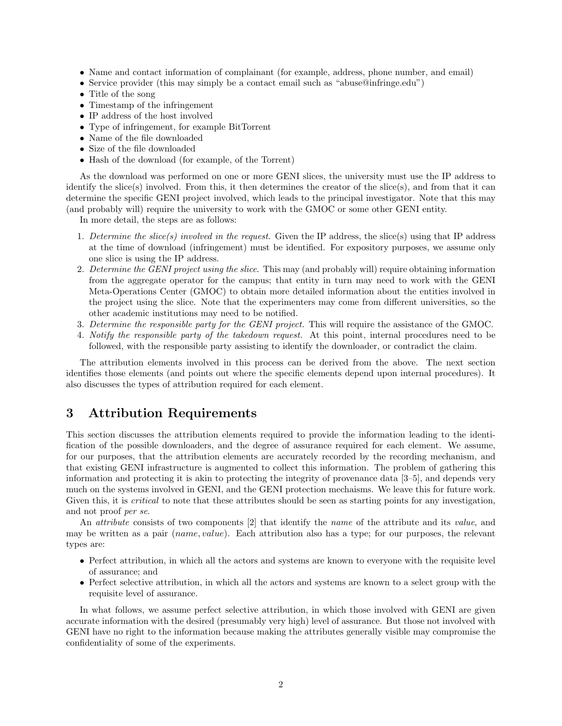- Name and contact information of complainant (for example, address, phone number, and email)
- Service provider (this may simply be a contact email such as "abuse@infringe.edu")
- Title of the song
- Timestamp of the infringement
- IP address of the host involved
- Type of infringement, for example BitTorrent
- Name of the file downloaded
- Size of the file downloaded
- Hash of the download (for example, of the Torrent)

As the download was performed on one or more GENI slices, the university must use the IP address to identify the slice(s) involved. From this, it then determines the creator of the slice(s), and from that it can determine the specific GENI project involved, which leads to the principal investigator. Note that this may (and probably will) require the university to work with the GMOC or some other GENI entity.

In more detail, the steps are as follows:

- 1. Determine the slice(s) involved in the request. Given the IP address, the slice(s) using that IP address at the time of download (infringement) must be identified. For expository purposes, we assume only one slice is using the IP address.
- 2. Determine the GENI project using the slice. This may (and probably will) require obtaining information from the aggregate operator for the campus; that entity in turn may need to work with the GENI Meta-Operations Center (GMOC) to obtain more detailed information about the entities involved in the project using the slice. Note that the experimenters may come from different universities, so the other academic institutions may need to be notified.
- 3. Determine the responsible party for the GENI project. This will require the assistance of the GMOC.
- 4. Notify the responsible party of the takedown request. At this point, internal procedures need to be followed, with the responsible party assisting to identify the downloader, or contradict the claim.

The attribution elements involved in this process can be derived from the above. The next section identifies those elements (and points out where the specific elements depend upon internal procedures). It also discusses the types of attribution required for each element.

# 3 Attribution Requirements

This section discusses the attribution elements required to provide the information leading to the identification of the possible downloaders, and the degree of assurance required for each element. We assume, for our purposes, that the attribution elements are accurately recorded by the recording mechanism, and that existing GENI infrastructure is augmented to collect this information. The problem of gathering this information and protecting it is akin to protecting the integrity of provenance data [3–5], and depends very much on the systems involved in GENI, and the GENI protection mechaisms. We leave this for future work. Given this, it is *critical* to note that these attributes should be seen as starting points for any investigation, and not proof per se.

An *attribute* consists of two components [2] that identify the *name* of the attribute and its *value*, and may be written as a pair (name, value). Each attribution also has a type; for our purposes, the relevant types are:

- Perfect attribution, in which all the actors and systems are known to everyone with the requisite level of assurance; and
- Perfect selective attribution, in which all the actors and systems are known to a select group with the requisite level of assurance.

In what follows, we assume perfect selective attribution, in which those involved with GENI are given accurate information with the desired (presumably very high) level of assurance. But those not involved with GENI have no right to the information because making the attributes generally visible may compromise the confidentiality of some of the experiments.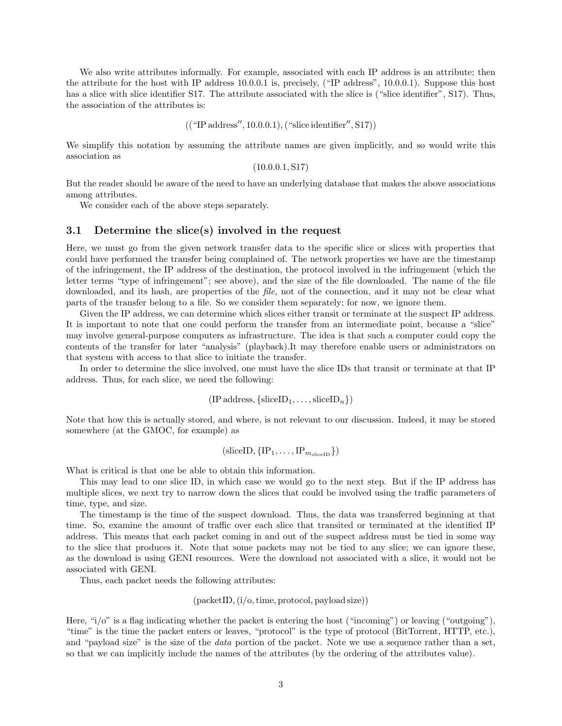We also write attributes informally. For example, associated with each IP address is an attribute; then the attribute for the host with IP address 10.0.0.1 is, precisely, ("IP address", 10.0.0.1). Suppose this host has a slice with slice identifier S17. The attribute associated with the slice is ("slice identifier", S17). Thus, the association of the attributes is:

$$
((\text{``IP address''}, 10.0.0.1), (\text{``slice identifier''}, S17))
$$

We simplify this notation by assuming the attribute names are given implicitly, and so would write this association as

(10.0.0.1, S17)

But the reader should be aware of the need to have an underlying database that makes the above associations among attributes.

We consider each of the above steps separately.

#### 3.1 Determine the slice(s) involved in the request

Here, we must go from the given network transfer data to the specific slice or slices with properties that could have performed the transfer being complained of. The network properties we have are the timestamp of the infringement, the IP address of the destination, the protocol involved in the infringement (which the letter terms "type of infringement"; see above), and the size of the file downloaded. The name of the file downloaded, and its hash, are properties of the *file*, not of the connection, and it may not be clear what parts of the transfer belong to a file. So we consider them separately; for now, we ignore them.

Given the IP address, we can determine which slices either transit or terminate at the suspect IP address. It is important to note that one could perform the transfer from an intermediate point, because a "slice" may involve general-purpose computers as infrastructure. The idea is that such a computer could copy the contents of the transfer for later "analysis" (playback).It may therefore enable users or administrators on that system with access to that slice to initiate the transfer.

In order to determine the slice involved, one must have the slice IDs that transit or terminate at that IP address. Thus, for each slice, we need the following:

 $(\text{IP address}, \{\text{sliceID}_1, \ldots, \text{sliceID}_n\})$ 

Note that how this is actually stored, and where, is not relevant to our discussion. Indeed, it may be stored somewhere (at the GMOC, for example) as

$$
(\text{sliceID}, \{ \text{IP}_1, \ldots, \text{IP}_{m_{\text{sliceID}}} \})
$$

What is critical is that one be able to obtain this information.

This may lead to one slice ID, in which case we would go to the next step. But if the IP address has multiple slices, we next try to narrow down the slices that could be involved using the traffic parameters of time, type, and size.

The timestamp is the time of the suspect download. Thus, the data was transferred beginning at that time. So, examine the amount of traffic over each slice that transited or terminated at the identified IP address. This means that each packet coming in and out of the suspect address must be tied in some way to the slice that produces it. Note that some packets may not be tied to any slice; we can ignore these, as the download is using GENI resources. Were the download not associated with a slice, it would not be associated with GENI.

Thus, each packet needs the following attributes:

(packetID,(i/o,time, protocol, payload size))

Here, "i/o" is a flag indicating whether the packet is entering the host ("incoming") or leaving ("outgoing"), "time" is the time the packet enters or leaves, "protocol" is the type of protocol (BitTorrent, HTTP, etc.), and "payload size" is the size of the *data* portion of the packet. Note we use a sequence rather than a set, so that we can implicitly include the names of the attributes (by the ordering of the attributes value).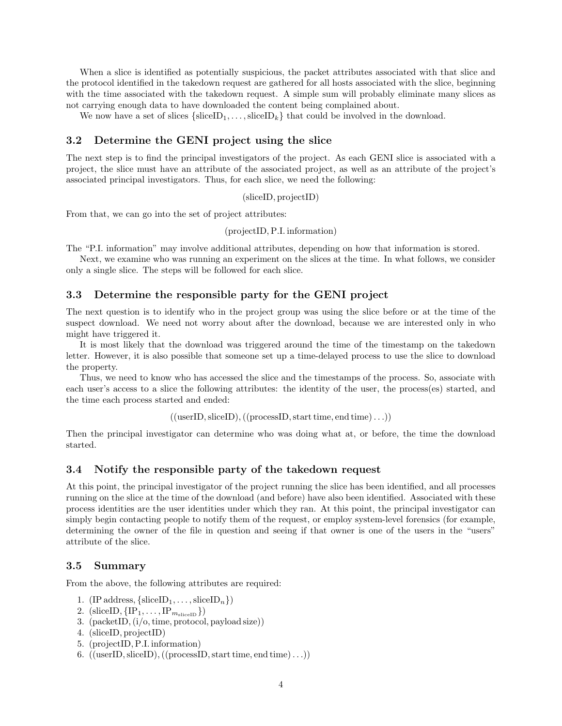When a slice is identified as potentially suspicious, the packet attributes associated with that slice and the protocol identified in the takedown request are gathered for all hosts associated with the slice, beginning with the time associated with the takedown request. A simple sum will probably eliminate many slices as not carrying enough data to have downloaded the content being complained about.

We now have a set of slices  ${s_i: \text{sliceID}_1, \ldots, \text{sliceID}_k}$  that could be involved in the download.

#### 3.2 Determine the GENI project using the slice

The next step is to find the principal investigators of the project. As each GENI slice is associated with a project, the slice must have an attribute of the associated project, as well as an attribute of the project's associated principal investigators. Thus, for each slice, we need the following:

(sliceID, projectID)

From that, we can go into the set of project attributes:

#### (projectID,P.I. information)

The "P.I. information" may involve additional attributes, depending on how that information is stored.

Next, we examine who was running an experiment on the slices at the time. In what follows, we consider only a single slice. The steps will be followed for each slice.

#### 3.3 Determine the responsible party for the GENI project

The next question is to identify who in the project group was using the slice before or at the time of the suspect download. We need not worry about after the download, because we are interested only in who might have triggered it.

It is most likely that the download was triggered around the time of the timestamp on the takedown letter. However, it is also possible that someone set up a time-delayed process to use the slice to download the property.

Thus, we need to know who has accessed the slice and the timestamps of the process. So, associate with each user's access to a slice the following attributes: the identity of the user, the process(es) started, and the time each process started and ended:

 $((userID, sliceID),((processID, start time, end time) ...))$ 

Then the principal investigator can determine who was doing what at, or before, the time the download started.

#### 3.4 Notify the responsible party of the takedown request

At this point, the principal investigator of the project running the slice has been identified, and all processes running on the slice at the time of the download (and before) have also been identified. Associated with these process identities are the user identities under which they ran. At this point, the principal investigator can simply begin contacting people to notify them of the request, or employ system-level forensics (for example, determining the owner of the file in question and seeing if that owner is one of the users in the "users" attribute of the slice.

#### 3.5 Summary

From the above, the following attributes are required:

- 1. (IP address,  ${sliceID_1, \ldots, sliceID_n}$ )
- 2. (sliceID,  $\{IP_1, \ldots, IP_{m_{\text{sliceID}}}\}\$ )
- 3. (packetID,(i/o,time, protocol, payload size))
- 4. (sliceID, projectID)
- 5. (projectID,P.I. information)
- 6.  $((\text{userID}, \text{sliceID}), ((\text{processID}, \text{start time}, \text{end time})...)$